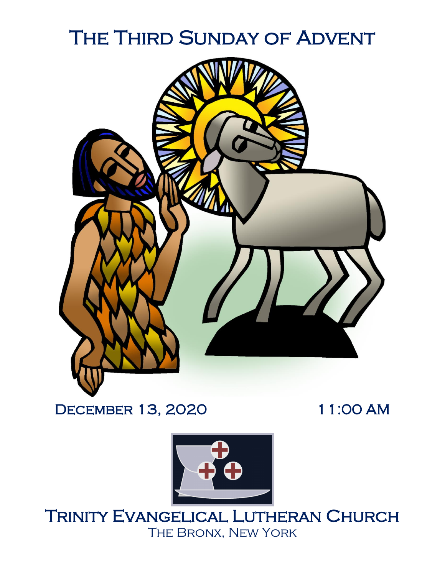# THE THIRD SUNDAY OF ADVENT



# December 13, 2020 11:00 AM



Trinity Evangelical Lutheran Church The Bronx, New York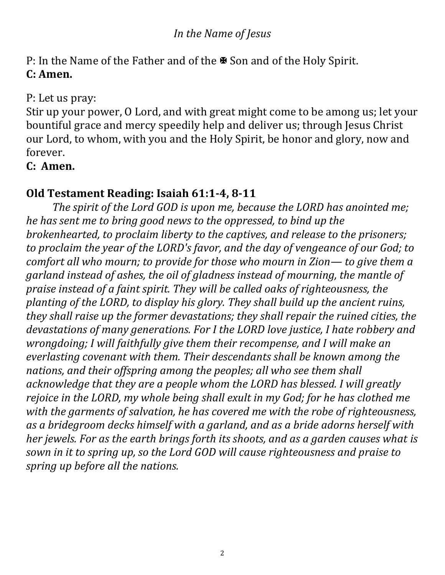# *In the Name of Jesus*

P: In the Name of the Father and of the <sup>■</sup> Son and of the Holy Spirit. **C: Amen.**

#### P: Let us pray:

Stir up your power, O Lord, and with great might come to be among us; let your bountiful grace and mercy speedily help and deliver us; through Jesus Christ our Lord, to whom, with you and the Holy Spirit, be honor and glory, now and forever.

# **C: Amen.**

# **Old Testament Reading: Isaiah 61:1-4, 8-11**

*The spirit of the Lord GOD is upon me, because the LORD has anointed me; he has sent me to bring good news to the oppressed, to bind up the brokenhearted, to proclaim liberty to the captives, and release to the prisoners; to proclaim the year of the LORD's favor, and the day of vengeance of our God; to comfort all who mourn; to provide for those who mourn in Zion— to give them a garland instead of ashes, the oil of gladness instead of mourning, the mantle of praise instead of a faint spirit. They will be called oaks of righteousness, the planting of the LORD, to display his glory. They shall build up the ancient ruins, they shall raise up the former devastations; they shall repair the ruined cities, the devastations of many generations. For I the LORD love justice, I hate robbery and wrongdoing; I will faithfully give them their recompense, and I will make an everlasting covenant with them. Their descendants shall be known among the nations, and their offspring among the peoples; all who see them shall acknowledge that they are a people whom the LORD has blessed. I will greatly rejoice in the LORD, my whole being shall exult in my God; for he has clothed me with the garments of salvation, he has covered me with the robe of righteousness, as a bridegroom decks himself with a garland, and as a bride adorns herself with her jewels. For as the earth brings forth its shoots, and as a garden causes what is sown in it to spring up, so the Lord GOD will cause righteousness and praise to spring up before all the nations.*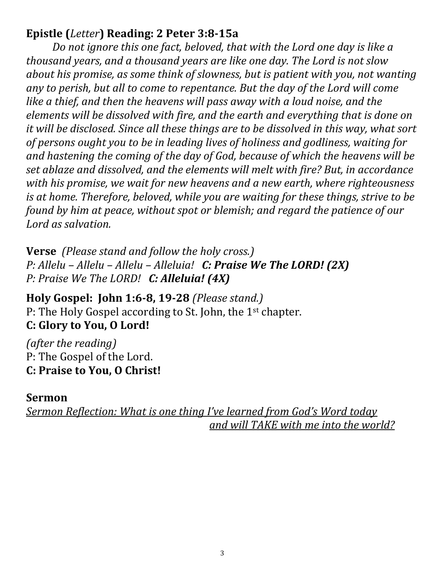# **Epistle (***Letter***) Reading: 2 Peter 3:8-15a**

*Do not ignore this one fact, beloved, that with the Lord one day is like a thousand years, and a thousand years are like one day. The Lord is not slow about his promise, as some think of slowness, but is patient with you, not wanting any to perish, but all to come to repentance. But the day of the Lord will come like a thief, and then the heavens will pass away with a loud noise, and the elements will be dissolved with fire, and the earth and everything that is done on it will be disclosed. Since all these things are to be dissolved in this way, what sort of persons ought you to be in leading lives of holiness and godliness, waiting for and hastening the coming of the day of God, because of which the heavens will be set ablaze and dissolved, and the elements will melt with fire? But, in accordance with his promise, we wait for new heavens and a new earth, where righteousness is at home. Therefore, beloved, while you are waiting for these things, strive to be found by him at peace, without spot or blemish; and regard the patience of our Lord as salvation.*

**Verse** *(Please stand and follow the holy cross.) P: Allelu – Allelu – Allelu – Alleluia! C: Praise We The LORD! (2X) P: Praise We The LORD! C: Alleluia! (4X)*

# **Holy Gospel:****John 1:6-8, 19-28** *(Please stand.)*

P: The Holy Gospel according to St. John, the 1st chapter. **C: Glory to You, O Lord!**

*(after the reading)* P: The Gospel of the Lord. **C: Praise to You, O Christ!**

#### **Sermon**

*Sermon Reflection: What is one thing I've learned from God's Word today and will TAKE with me into the world?*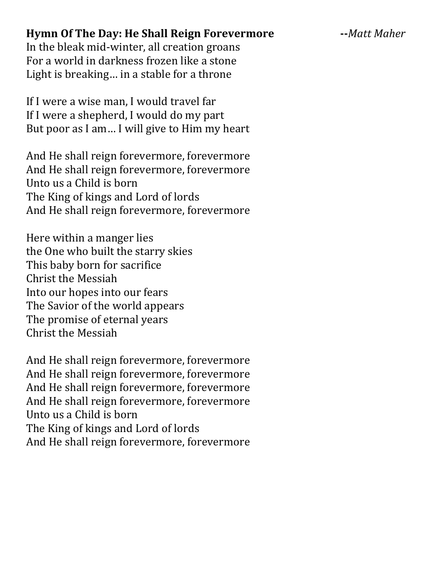#### **Hymn Of The Day: He Shall Reign Forevermore --***Matt Maher*

In the bleak mid-winter, all creation groans For a world in darkness frozen like a stone Light is breaking… in a stable for a throne

If I were a wise man, I would travel far If I were a shepherd, I would do my part But poor as I am… I will give to Him my heart

And He shall reign forevermore, forevermore And He shall reign forevermore, forevermore Unto us a Child is born The King of kings and Lord of lords And He shall reign forevermore, forevermore

Here within a manger lies the One who built the starry skies This baby born for sacrifice Christ the Messiah Into our hopes into our fears The Savior of the world appears The promise of eternal years Christ the Messiah

And He shall reign forevermore, forevermore And He shall reign forevermore, forevermore And He shall reign forevermore, forevermore And He shall reign forevermore, forevermore Unto us a Child is born The King of kings and Lord of lords And He shall reign forevermore, forevermore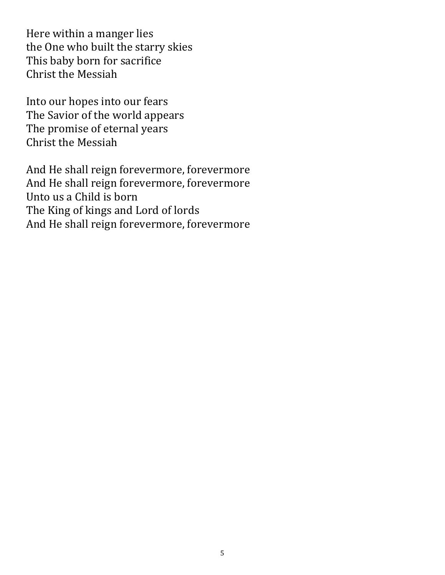Here within a manger lies the One who built the starry skies This baby born for sacrifice Christ the Messiah

Into our hopes into our fears The Savior of the world appears The promise of eternal years Christ the Messiah

And He shall reign forevermore, forevermore And He shall reign forevermore, forevermore Unto us a Child is born The King of kings and Lord of lords And He shall reign forevermore, forevermore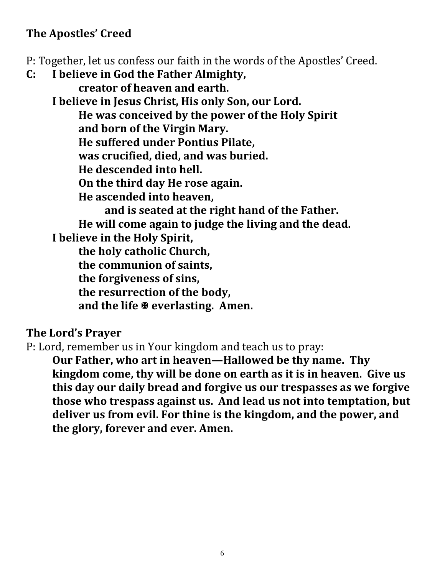# **The Apostles' Creed**

P: Together, let us confess our faith in the words of the Apostles' Creed.

**C: I believe in God the Father Almighty, creator of heaven and earth. I believe in Jesus Christ, His only Son, our Lord. He was conceived by the power of the Holy Spirit and born of the Virgin Mary. He suffered under Pontius Pilate, was crucified, died, and was buried. He descended into hell. On the third day He rose again. He ascended into heaven, and is seated at the right hand of the Father. He will come again to judge the living and the dead. I believe in the Holy Spirit, the holy catholic Church, the communion of saints, the forgiveness of sins, the resurrection of the body, and the life everlasting. Amen.**

# **The Lord's Prayer**

P: Lord, remember us in Your kingdom and teach us to pray:

**Our Father, who art in heaven—Hallowed be thy name. Thy kingdom come, thy will be done on earth as it is in heaven. Give us this day our daily bread and forgive us our trespasses as we forgive those who trespass against us. And lead us not into temptation, but deliver us from evil. For thine is the kingdom, and the power, and the glory, forever and ever. Amen.**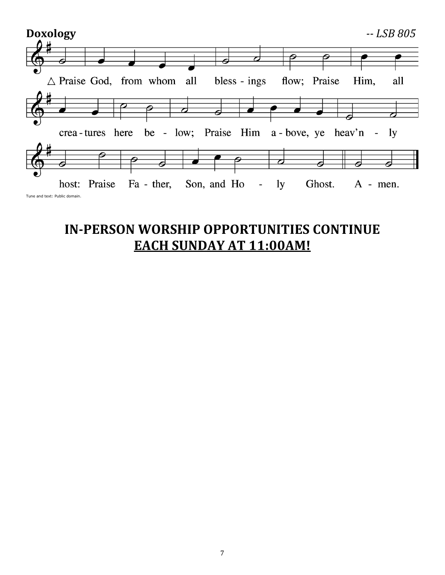

# **IN-PERSON WORSHIP OPPORTUNITIES CONTINUE EACH SUNDAY AT 11:00AM!**